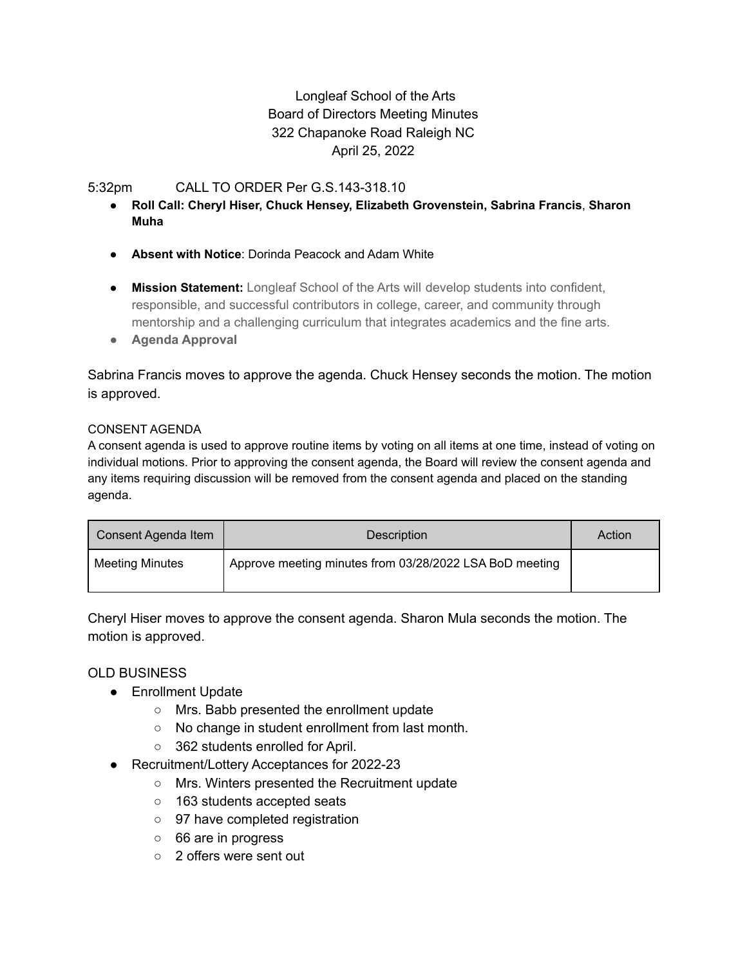# Longleaf School of the Arts Board of Directors Meeting Minutes 322 Chapanoke Road Raleigh NC April 25, 2022

### 5:32pm CALL TO ORDER Per G.S.143-318.10

- **Roll Call: Cheryl Hiser, Chuck Hensey, Elizabeth Grovenstein, Sabrina Francis**, **Sharon Muha**
- **Absent with Notice**: Dorinda Peacock and Adam White
- **Mission Statement:** Longleaf School of the Arts will develop students into confident, responsible, and successful contributors in college, career, and community through mentorship and a challenging curriculum that integrates academics and the fine arts.
- **● Agenda Approval**

Sabrina Francis moves to approve the agenda. Chuck Hensey seconds the motion. The motion is approved.

#### CONSENT AGENDA

A consent agenda is used to approve routine items by voting on all items at one time, instead of voting on individual motions. Prior to approving the consent agenda, the Board will review the consent agenda and any items requiring discussion will be removed from the consent agenda and placed on the standing agenda.

| Consent Agenda Item    | Description                                             | Action |
|------------------------|---------------------------------------------------------|--------|
| <b>Meeting Minutes</b> | Approve meeting minutes from 03/28/2022 LSA BoD meeting |        |

Cheryl Hiser moves to approve the consent agenda. Sharon Mula seconds the motion. The motion is approved.

### OLD BUSINESS

- Enrollment Update
	- Mrs. Babb presented the enrollment update
	- No change in student enrollment from last month.
	- 362 students enrolled for April.
- Recruitment/Lottery Acceptances for 2022-23
	- Mrs. Winters presented the Recruitment update
	- 163 students accepted seats
	- 97 have completed registration
	- 66 are in progress
	- 2 offers were sent out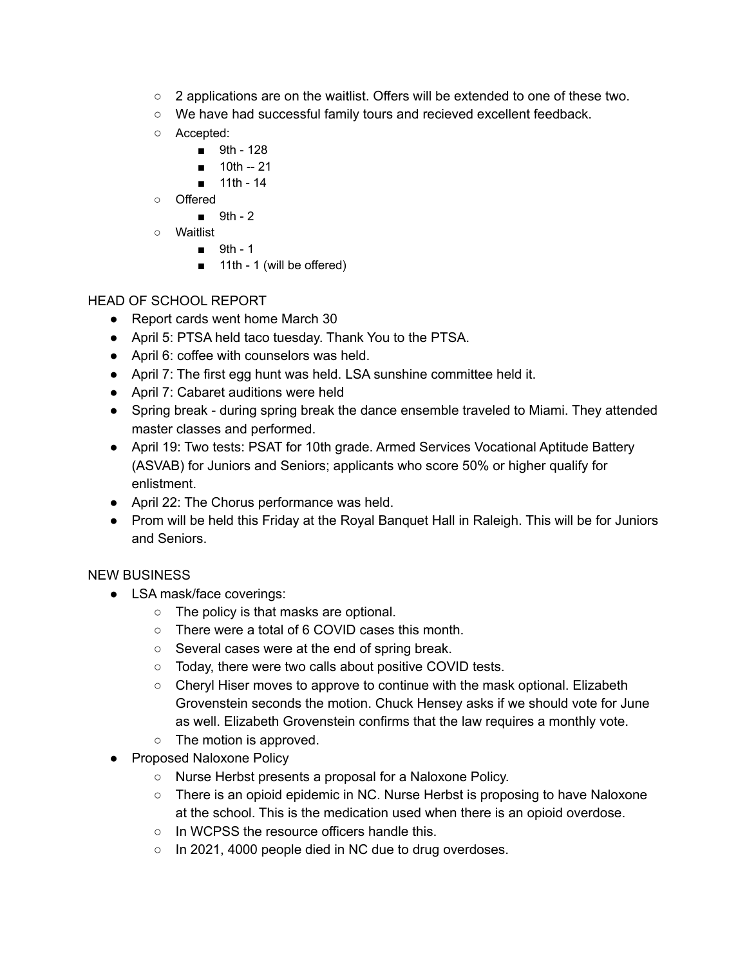- $\circ$  2 applications are on the waitlist. Offers will be extended to one of these two.
- We have had successful family tours and recieved excellent feedback.
- Accepted:
	- 9th 128
	- 10th -- 21
	- 11th 14
- Offered
	- 9th 2
- Waitlist
	- 9th 1
	- 11th 1 (will be offered)

## HEAD OF SCHOOL REPORT

- Report cards went home March 30
- April 5: PTSA held taco tuesday. Thank You to the PTSA.
- April 6: coffee with counselors was held.
- April 7: The first egg hunt was held. LSA sunshine committee held it.
- April 7: Cabaret auditions were held
- Spring break during spring break the dance ensemble traveled to Miami. They attended master classes and performed.
- April 19: Two tests: PSAT for 10th grade. Armed Services Vocational Aptitude Battery (ASVAB) for Juniors and Seniors; applicants who score 50% or higher qualify for enlistment.
- April 22: The Chorus performance was held.
- Prom will be held this Friday at the Royal Banquet Hall in Raleigh. This will be for Juniors and Seniors.

## NEW BUSINESS

- LSA mask/face coverings:
	- The policy is that masks are optional.
	- There were a total of 6 COVID cases this month.
	- Several cases were at the end of spring break.
	- Today, there were two calls about positive COVID tests.
	- $\circ$  Cheryl Hiser moves to approve to continue with the mask optional. Elizabeth Grovenstein seconds the motion. Chuck Hensey asks if we should vote for June as well. Elizabeth Grovenstein confirms that the law requires a monthly vote.
	- The motion is approved.
- Proposed Naloxone Policy
	- Nurse Herbst presents a proposal for a Naloxone Policy.
	- There is an opioid epidemic in NC. Nurse Herbst is proposing to have Naloxone at the school. This is the medication used when there is an opioid overdose.
	- In WCPSS the resource officers handle this.
	- In 2021, 4000 people died in NC due to drug overdoses.